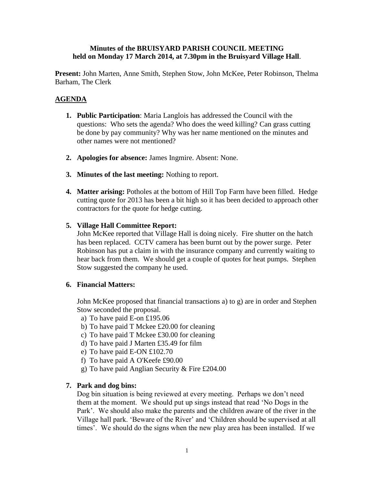#### **Minutes of the BRUISYARD PARISH COUNCIL MEETING held on Monday 17 March 2014, at 7.30pm in the Bruisyard Village Hall**.

**Present:** John Marten, Anne Smith, Stephen Stow, John McKee, Peter Robinson, Thelma Barham, The Clerk

## **AGENDA**

- **1. Public Participation**: Maria Langlois has addressed the Council with the questions: Who sets the agenda? Who does the weed killing? Can grass cutting be done by pay community? Why was her name mentioned on the minutes and other names were not mentioned?
- **2. Apologies for absence:** James Ingmire. Absent: None.
- **3. Minutes of the last meeting:** Nothing to report.
- **4. Matter arising:** Potholes at the bottom of Hill Top Farm have been filled. Hedge cutting quote for 2013 has been a bit high so it has been decided to approach other contractors for the quote for hedge cutting.

## **5. Village Hall Committee Report:**

John McKee reported that Village Hall is doing nicely. Fire shutter on the hatch has been replaced. CCTV camera has been burnt out by the power surge. Peter Robinson has put a claim in with the insurance company and currently waiting to hear back from them. We should get a couple of quotes for heat pumps. Stephen Stow suggested the company he used.

## **6. Financial Matters:**

John McKee proposed that financial transactions a) to g) are in order and Stephen Stow seconded the proposal.

- a) To have paid E-on £195.06
- b) To have paid T Mckee £20.00 for cleaning
- c) To have paid T Mckee £30.00 for cleaning
- d) To have paid J Marten £35.49 for film
- e) To have paid E-ON £102.70
- f) To have paid A O'Keefe £90.00
- g) To have paid Anglian Security & Fire £204.00

## **7. Park and dog bins:**

Dog bin situation is being reviewed at every meeting. Perhaps we don't need them at the moment. We should put up sings instead that read 'No Dogs in the Park'. We should also make the parents and the children aware of the river in the Village hall park. 'Beware of the River' and 'Children should be supervised at all times'. We should do the signs when the new play area has been installed. If we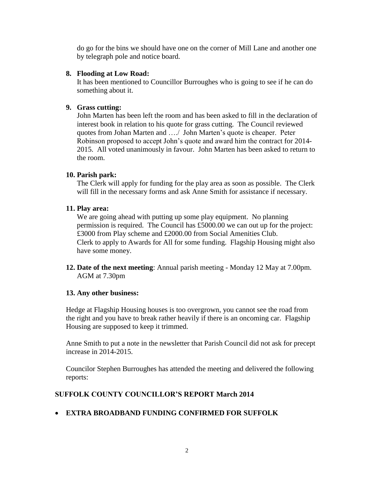do go for the bins we should have one on the corner of Mill Lane and another one by telegraph pole and notice board.

#### **8. Flooding at Low Road:**

It has been mentioned to Councillor Burroughes who is going to see if he can do something about it.

## **9. Grass cutting:**

John Marten has been left the room and has been asked to fill in the declaration of interest book in relation to his quote for grass cutting. The Council reviewed quotes from Johan Marten and …./ John Marten's quote is cheaper. Peter Robinson proposed to accept John's quote and award him the contract for 2014- 2015. All voted unanimously in favour. John Marten has been asked to return to the room.

## **10. Parish park:**

The Clerk will apply for funding for the play area as soon as possible. The Clerk will fill in the necessary forms and ask Anne Smith for assistance if necessary.

## **11. Play area:**

We are going ahead with putting up some play equipment. No planning permission is required. The Council has £5000.00 we can out up for the project: £3000 from Play scheme and £2000.00 from Social Amenities Club. Clerk to apply to Awards for All for some funding. Flagship Housing might also have some money.

**12. Date of the next meeting**: Annual parish meeting - Monday 12 May at 7.00pm. AGM at 7.30pm

## **13. Any other business:**

Hedge at Flagship Housing houses is too overgrown, you cannot see the road from the right and you have to break rather heavily if there is an oncoming car. Flagship Housing are supposed to keep it trimmed.

Anne Smith to put a note in the newsletter that Parish Council did not ask for precept increase in 2014-2015.

Councilor Stephen Burroughes has attended the meeting and delivered the following reports:

# **SUFFOLK COUNTY COUNCILLOR'S REPORT March 2014**

# **EXTRA BROADBAND FUNDING CONFIRMED FOR SUFFOLK**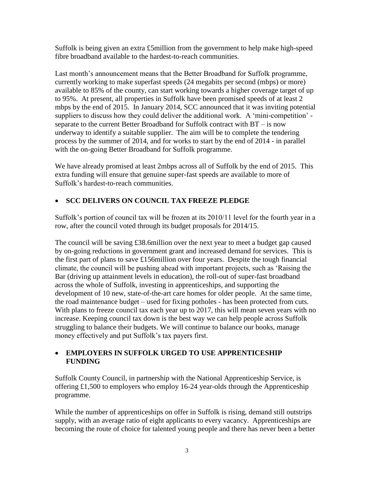Suffolk is being given an extra £5million from the government to help make high-speed fibre broadband available to the hardest-to-reach communities.

Last month's announcement means that the Better Broadband for Suffolk programme, currently working to make superfast speeds (24 megabits per second (mbps) or more) available to 85% of the county, can start working towards a higher coverage target of up to 95%. At present, all properties in Suffolk have been promised speeds of at least 2 mbps by the end of 2015. In January 2014, SCC announced that it was inviting potential suppliers to discuss how they could deliver the additional work. A 'mini-competition' separate to the current Better Broadband for Suffolk contract with BT – is now underway to identify a suitable supplier. The aim will be to complete the tendering process by the summer of 2014, and for works to start by the end of 2014 - in parallel with the on-going Better Broadband for Suffolk programme.

We have already promised at least 2mbps across all of Suffolk by the end of 2015. This extra funding will ensure that genuine super-fast speeds are available to more of Suffolk's hardest-to-reach communities.

# **SCC DELIVERS ON COUNCIL TAX FREEZE PLEDGE**

Suffolk's portion of council tax will be frozen at its 2010/11 level for the fourth year in a row, after the council voted through its budget proposals for 2014/15.

The council will be saving £38.6million over the next year to meet a budget gap caused by on-going reductions in government grant and increased demand for services. This is the first part of plans to save £156million over four years. Despite the tough financial climate, the council will be pushing ahead with important projects, such as 'Raising the Bar (driving up attainment levels in education), the roll-out of super-fast broadband across the whole of Suffolk, investing in apprenticeships, and supporting the development of 10 new, state-of-the-art care homes for older people. At the same time, the road maintenance budget – used for fixing potholes - has been protected from cuts. With plans to freeze council tax each year up to 2017, this will mean seven years with no increase. Keeping council tax down is the best way we can help people across Suffolk struggling to balance their budgets. We will continue to balance our books, manage money effectively and put Suffolk's tax payers first.

## **EMPLOYERS IN SUFFOLK URGED TO USE APPRENTICESHIP FUNDING**

Suffolk County Council, in partnership with the National Apprenticeship Service, is offering £1,500 to employers who employ 16-24 year-olds through the Apprenticeship programme.

While the number of apprenticeships on offer in Suffolk is rising, demand still outstrips supply, with an average ratio of eight applicants to every vacancy. Apprenticeships are becoming the route of choice for talented young people and there has never been a better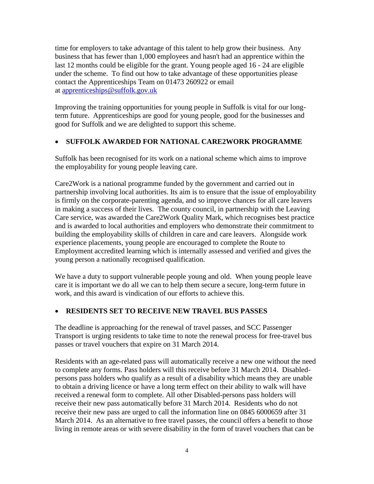time for employers to take advantage of this talent to help grow their business. Any business that has fewer than 1,000 employees and hasn't had an apprentice within the last 12 months could be eligible for the grant. Young people aged 16 - 24 are eligible under the scheme. To find out how to take advantage of these opportunities please contact the Apprenticeships Team on 01473 260922 or email at [apprenticeships@suffolk.gov.uk](mailto:apprenticeships@suffolk.gov.uk)

Improving the training opportunities for young people in Suffolk is vital for our longterm future. Apprenticeships are good for young people, good for the businesses and good for Suffolk and we are delighted to support this scheme.

## **SUFFOLK AWARDED FOR NATIONAL CARE2WORK PROGRAMME**

Suffolk has been recognised for its work on a national scheme which aims to improve the employability for young people leaving care.

Care2Work is a national programme funded by the government and carried out in partnership involving local authorities. Its aim is to ensure that the issue of employability is firmly on the corporate-parenting agenda, and so improve chances for all care leavers in making a success of their lives. The county council, in partnership with the Leaving Care service, was awarded the Care2Work Quality Mark, which recognises best practice and is awarded to local authorities and employers who demonstrate their commitment to building the employability skills of children in care and care leavers. Alongside work experience placements, young people are encouraged to complete the Route to Employment accredited learning which is internally assessed and verified and gives the young person a nationally recognised qualification.

We have a duty to support vulnerable people young and old. When young people leave care it is important we do all we can to help them secure a secure, long-term future in work, and this award is vindication of our efforts to achieve this.

# **RESIDENTS SET TO RECEIVE NEW TRAVEL BUS PASSES**

The deadline is approaching for the renewal of travel passes, and SCC Passenger Transport is urging residents to take time to note the renewal process for free-travel bus passes or travel vouchers that expire on 31 March 2014.

Residents with an age-related pass will automatically receive a new one without the need to complete any forms. Pass holders will this receive before 31 March 2014. Disabledpersons pass holders who qualify as a result of a disability which means they are unable to obtain a driving licence or have a long term effect on their ability to walk will have received a renewal form to complete. All other Disabled-persons pass holders will receive their new pass automatically before 31 March 2014. Residents who do not receive their new pass are urged to call the information line on 0845 6000659 after 31 March 2014. As an alternative to free travel passes, the council offers a benefit to those living in remote areas or with severe disability in the form of travel vouchers that can be